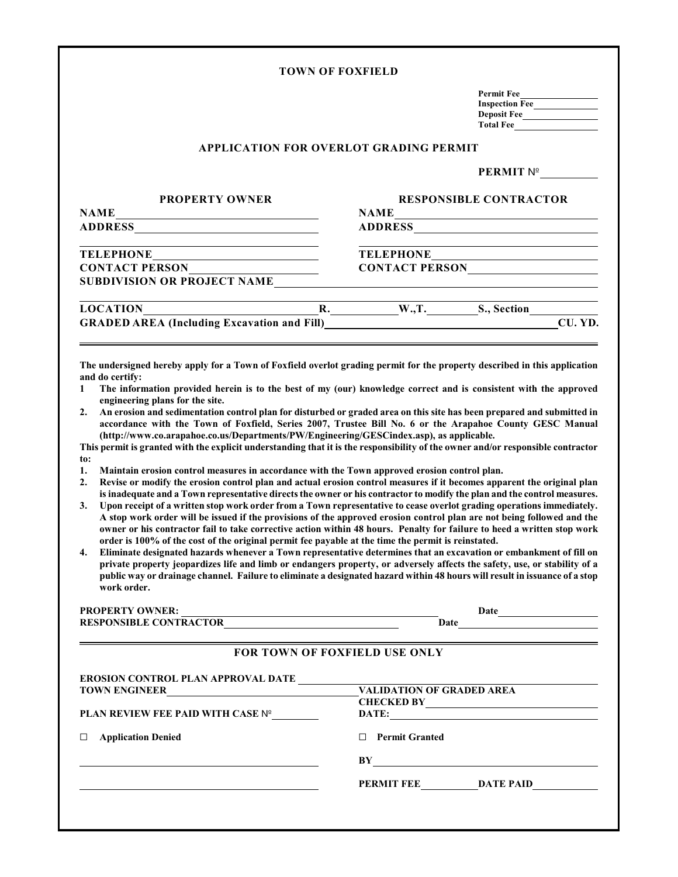| <b>TOWN OF FOXFIELD</b> |  |  |  |  |
|-------------------------|--|--|--|--|
|-------------------------|--|--|--|--|

| <b>Permit Fee</b>     |  |
|-----------------------|--|
| <b>Inspection Fee</b> |  |
| <b>Deposit Fee</b>    |  |
| <b>Total Fee</b>      |  |

## **APPLICATION FOR OVERLOT GRADING PERMIT**

## **PERMIT** m

| <b>PROPERTY OWNER</b>                                                                                                                                                                                                                    | <b>RESPONSIBLE CONTRACTOR</b> |                       |         |  |
|------------------------------------------------------------------------------------------------------------------------------------------------------------------------------------------------------------------------------------------|-------------------------------|-----------------------|---------|--|
| <b>NAME</b><br><u> 1980 - Johann Barn, mars ann an t-Amhain Aonaichte ann an t-Amhain Aonaichte ann an t-Amhain Aonaichte ann an</u>                                                                                                     | <b>NAME</b>                   |                       |         |  |
|                                                                                                                                                                                                                                          |                               |                       |         |  |
|                                                                                                                                                                                                                                          |                               |                       |         |  |
| CONTACT PERSON                                                                                                                                                                                                                           |                               | CONTACT PERSON        |         |  |
| <b>SUBDIVISION OR PROJECT NAME</b>                                                                                                                                                                                                       |                               |                       |         |  |
| LOCATION                                                                                                                                                                                                                                 |                               | R. W., T. S., Section |         |  |
| GRADED AREA (Including Excavation and Fill)<br><u>CRADED AREA</u> (Including Excavation and Fill)                                                                                                                                        |                               |                       | CU. YD. |  |
| The undersigned hereby apply for a Town of Foxfield overlot grading permit for the property described in this application                                                                                                                |                               |                       |         |  |
| and do certify:                                                                                                                                                                                                                          |                               |                       |         |  |
| The information provided herein is to the best of my (our) knowledge correct and is consistent with the approved<br>$\mathbf{1}$<br>engineering plans for the site.                                                                      |                               |                       |         |  |
| An erosion and sedimentation control plan for disturbed or graded area on this site has been prepared and submitted in<br>2.<br>accordance with the Town of Foxfield, Series 2007, Trustee Bill No. 6 or the Arapahoe County GESC Manual |                               |                       |         |  |

**(http://www.co.arapahoe.co.us/Departments/PW/Engineering/GESCindex.asp), as applicable.**

**This permit is granted with the explicit understanding that it is the responsibility of the owner and/or responsible contractor to:**

- **1. Maintain erosion control measures in accordance with the Town approved erosion control plan.**
- **2. Revise or modify the erosion control plan and actual erosion control measures if it becomes apparent the original plan is inadequate and a Town representative directs the owner or his contractor to modify the plan and the control measures.**
- **3. Upon receipt of a written stop work order from a Town representative to cease overlot grading operations immediately. A stop work order will be issued if the provisions of the approved erosion control plan are not being followed and the owner or his contractor fail to take corrective action within 48 hours. Penalty for failure to heed a written stop work order is 100% of the cost of the original permit fee payable at the time the permit is reinstated.**
- **4. Eliminate designated hazards whenever a Town representative determines that an excavation or embankment of fill on private property jeopardizes life and limb or endangers property, or adversely affects the safety, use, or stability of a public way or drainage channel. Failure to eliminate a designated hazard within 48 hours will result in issuance of a stop work order.**

| <b>PROPERTY OWNER:</b>                                                           | Date                                 |  |  |
|----------------------------------------------------------------------------------|--------------------------------------|--|--|
| <b>RESPONSIBLE CONTRACTOR</b>                                                    | Date                                 |  |  |
|                                                                                  | <b>FOR TOWN OF FOXFIELD USE ONLY</b> |  |  |
| <b>EROSION CONTROL PLAN APPROVAL DATE</b>                                        |                                      |  |  |
| <b>TOWN ENGINEER</b><br><u> 1980 - Jan Samuel Barbara, martin di sebagai per</u> | <b>VALIDATION OF GRADED AREA</b>     |  |  |
|                                                                                  | <b>CHECKED BY</b>                    |  |  |
| <b>PLAN REVIEW FEE PAID WITH CASE Nº</b>                                         | DATE:                                |  |  |
| <b>Application Denied</b>                                                        | <b>Permit Granted</b>                |  |  |
|                                                                                  | BY                                   |  |  |
|                                                                                  | PERMIT FEE<br><b>DATE PAID</b>       |  |  |
|                                                                                  |                                      |  |  |